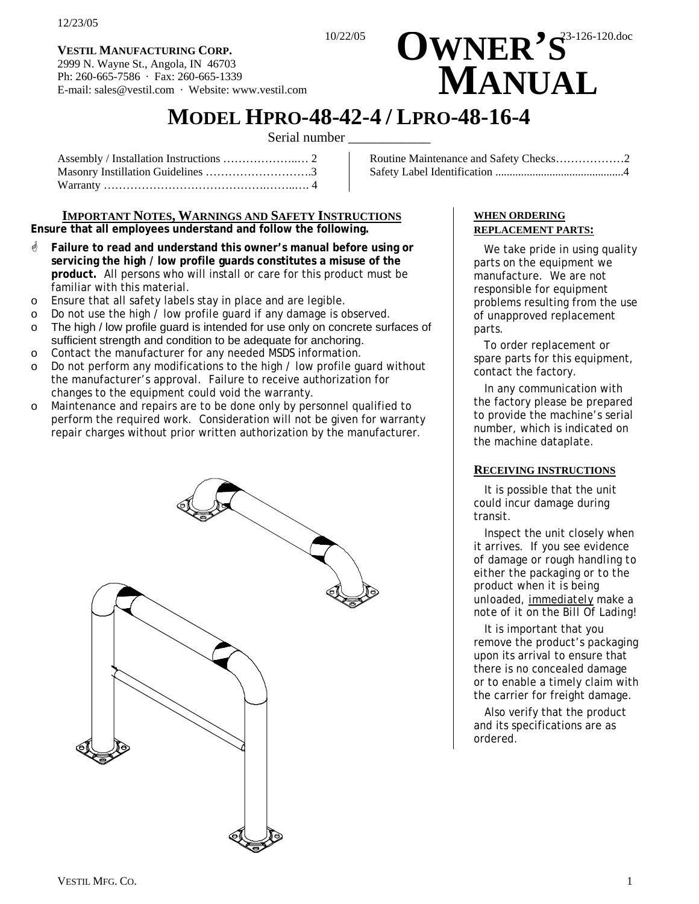**VESTIL MANUFACTURING CORP.** 2999 N. Wayne St., Angola, IN 46703 Ph: 260-665-7586 · Fax: 260-665-1339 E-mail: sales@vestil.com · Website: www.vestil.com

# **VESTIL MANUFACTURING CORP.**<br>2999 N. Wavne St., Angola, IN 46703  **MANUAL**

# **MODEL HPRO-48-42-4 / LPRO-48-16-4** Serial number

Assembly / Installation Instructions ………………..… 2 Masonry Instillation Guidelines ……………………….3 Warranty …………………………………….……..…. 4 Routine Maintenance and Safety Checks………………2 Safety Label Identification .............................................4

# **IMPORTANT NOTES, WARNINGS AND SAFETY INSTRUCTIONS**

**Ensure that all employees understand and follow the following.** 

- **Eailure to read and understand this owner's manual before using or servicing the high / low profile guards constitutes a misuse of the product.** All persons who will install or care for this product must be familiar with this material.
- o Ensure that all safety labels stay in place and are legible.
- o Do not use the high / low profile guard if any damage is observed.
- o The high / low profile guard is intended for use only on concrete surfaces of sufficient strength and condition to be adequate for anchoring.
- o Contact the manufacturer for any needed MSDS information.
- o Do not perform any modifications to the high / low profile guard without the manufacturer's approval. Failure to receive authorization for changes to the equipment could void the warranty.
- o Maintenance and repairs are to be done only by personnel qualified to perform the required work. Consideration will not be given for warranty repair charges without prior written authorization by the manufacturer.



#### **WHEN ORDERING REPLACEMENT PARTS:**

We take pride in using quality parts on the equipment we manufacture. We are not responsible for equipment problems resulting from the use of unapproved replacement parts.

To order replacement or spare parts for this equipment, contact the factory.

In any communication with the factory please be prepared to provide the machine's serial number, which is indicated on the machine dataplate.

#### **RECEIVING INSTRUCTIONS**

It is possible that the unit could incur damage during transit.

Inspect the unit closely when it arrives. *If you see evidence of damage or rough handling to either the packaging or to the product when it is being unloaded, immediately make a note of it on the Bill Of Lading!*

It is important that you remove the product's packaging upon its arrival to ensure that there is no concealed damage or to enable a timely claim with the carrier for freight damage.

Also verify that the product and its specifications are as ordered.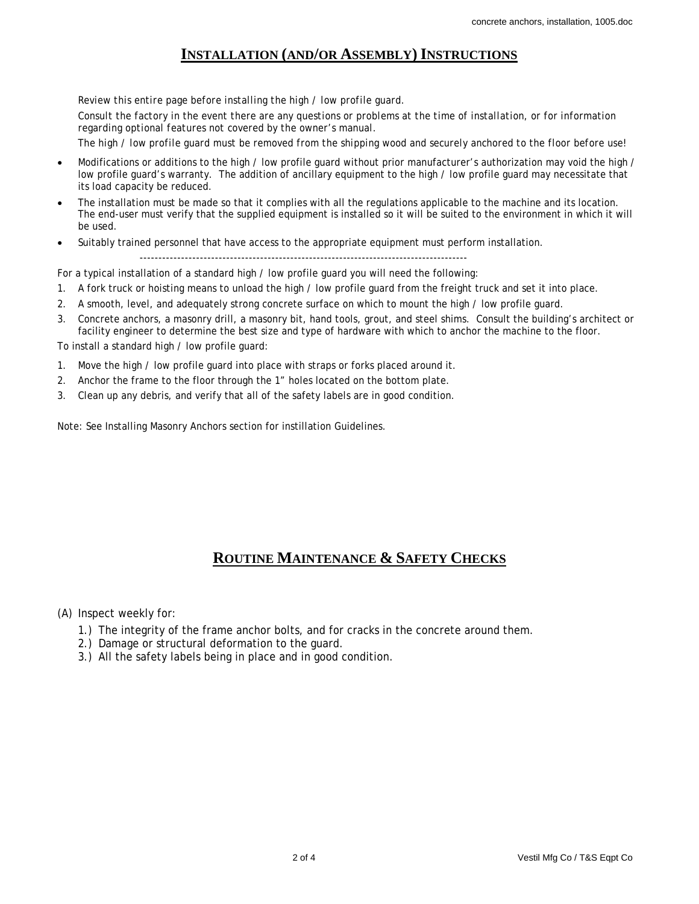### **INSTALLATION (AND/OR ASSEMBLY) INSTRUCTIONS**

*Review this entire page before installing the high / low profile guard. Consult the factory in the event there are any questions or problems at the time of installation, or for information regarding optional features not covered by the owner's manual. The high / low profile guard must be removed from the shipping wood and securely anchored to the floor before use!* 

- Modifications or additions to the high / low profile quard without prior manufacturer's authorization may void the high / low profile guard's warranty. The addition of ancillary equipment to the high / low profile guard may necessitate that its load capacity be reduced.
- The installation must be made so that it complies with all the regulations applicable to the machine and its location. The end-user must verify that the supplied equipment is installed so it will be suited to the environment in which it will be used.
- Suitably trained personnel that have access to the appropriate equipment must perform installation. ---------------------------------------------------------------------------------------

For a typical installation of a standard high / low profile guard you will need the following:

- 1. A fork truck or hoisting means to unload the high / low profile guard from the freight truck and set it into place.
- 2. A smooth, level, and adequately strong concrete surface on which to mount the high / low profile guard.
- 3. Concrete anchors, a masonry drill, a masonry bit, hand tools, grout, and steel shims. Consult the building's architect or facility engineer to determine the best size and type of hardware with which to anchor the machine to the floor.

To install a standard high / low profile guard:

- 1. Move the high / low profile guard into place with straps or forks placed around it.
- 2. Anchor the frame to the floor through the 1" holes located on the bottom plate.
- 3. Clean up any debris, and verify that all of the safety labels are in good condition.

Note: See Installing Masonry Anchors section for instillation Guidelines.

## **ROUTINE MAINTENANCE & SAFETY CHECKS**

(A) Inspect weekly for:

- 1.) The integrity of the frame anchor bolts, and for cracks in the concrete around them.
- 2.) Damage or structural deformation to the guard.
- 3.) All the safety labels being in place and in good condition.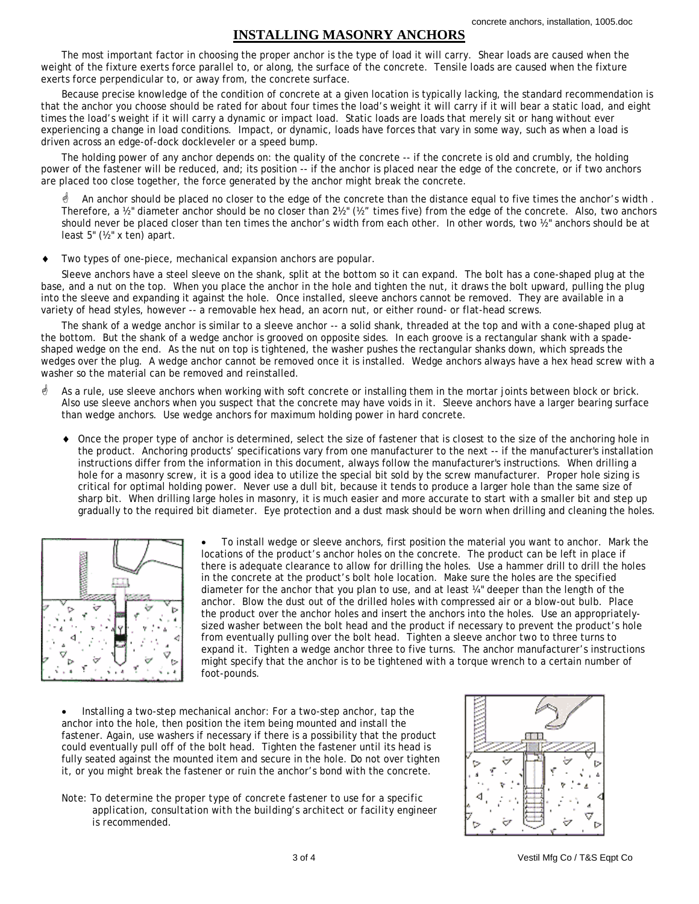#### **INSTALLING MASONRY ANCHORS**

The most important factor in choosing the proper anchor is the type of load it will carry. Shear loads are caused when the weight of the fixture exerts force parallel to, or along, the surface of the concrete. Tensile loads are caused when the fixture exerts force perpendicular to, or away from, the concrete surface.

Because precise knowledge of the condition of concrete at a given location is typically lacking, the standard recommendation is that the anchor you choose should be rated for about four times the load's weight it will carry if it will bear a static load, and eight times the load's weight if it will carry a dynamic or impact load. Static loads are loads that merely sit or hang without ever experiencing a change in load conditions. Impact, or dynamic, loads have forces that vary in some way, such as when a load is driven across an edge-of-dock dockleveler or a speed bump.

The holding power of any anchor depends on: the quality of the concrete -- if the concrete is old and crumbly, the holding power of the fastener will be reduced, and; its position -- if the anchor is placed near the edge of the concrete, or if two anchors are placed too close together, the force generated by the anchor might break the concrete.

 $\phi$  An anchor should be placed no closer to the edge of the concrete than the distance equal to five times the anchor's width. Therefore, a ½" diameter anchor should be no closer than 2½" (½" times five) from the edge of the concrete. Also, two anchors should never be placed closer than ten times the anchor's width from each other. In other words, two ½" anchors should be at least 5" (½" x ten) apart.

♦ Two types of one-piece, mechanical expansion anchors are popular.

Sleeve anchors have a steel sleeve on the shank, split at the bottom so it can expand. The bolt has a cone-shaped plug at the base, and a nut on the top. When you place the anchor in the hole and tighten the nut, it draws the bolt upward, pulling the plug into the sleeve and expanding it against the hole. Once installed, sleeve anchors cannot be removed. They are available in a variety of head styles, however -- a removable hex head, an acorn nut, or either round- or flat-head screws.

The shank of a wedge anchor is similar to a sleeve anchor -- a solid shank, threaded at the top and with a cone-shaped plug at the bottom. But the shank of a wedge anchor is grooved on opposite sides. In each groove is a rectangular shank with a spadeshaped wedge on the end. As the nut on top is tightened, the washer pushes the rectangular shanks down, which spreads the wedges over the plug. A wedge anchor cannot be removed once it is installed. Wedge anchors always have a hex head screw with a washer so the material can be removed and reinstalled.

- $\stackrel{\triangle}{\bullet}$  As a rule, use sleeve anchors when working with soft concrete or installing them in the mortar joints between block or brick. Also use sleeve anchors when you suspect that the concrete may have voids in it. Sleeve anchors have a larger bearing surface than wedge anchors. Use wedge anchors for maximum holding power in hard concrete.
	- Once the proper type of anchor is determined, select the size of fastener that is closest to the size of the anchoring hole in the product. Anchoring products' specifications vary from one manufacturer to the next -- if the manufacturer's installation instructions differ from the information in this document, always follow the manufacturer's instructions. When drilling a hole for a masonry screw, it is a good idea to utilize the special bit sold by the screw manufacturer. Proper hole sizing is critical for optimal holding power. Never use a dull bit, because it tends to produce a larger hole than the same size of sharp bit. When drilling large holes in masonry, it is much easier and more accurate to start with a smaller bit and step up gradually to the required bit diameter. Eye protection and a dust mask should be worn when drilling and cleaning the holes.



• To install wedge or sleeve anchors, first position the material you want to anchor. Mark the locations of the product's anchor holes on the concrete. The product can be left in place if there is adequate clearance to allow for drilling the holes. Use a hammer drill to drill the holes in the concrete at the product's bolt hole location. Make sure the holes are the specified diameter for the anchor that you plan to use, and at least ¼" deeper than the length of the anchor. Blow the dust out of the drilled holes with compressed air or a blow-out bulb. Place the product over the anchor holes and insert the anchors into the holes. Use an appropriatelysized washer between the bolt head and the product if necessary to prevent the product's hole from eventually pulling over the bolt head. Tighten a sleeve anchor two to three turns to expand it. Tighten a wedge anchor three to five turns. The anchor manufacturer's instructions might specify that the anchor is to be tightened with a torque wrench to a certain number of foot-pounds.

• Installing a two-step mechanical anchor: For a two-step anchor, tap the anchor into the hole, then position the item being mounted and install the fastener. Again, use washers if necessary if there is a possibility that the product could eventually pull off of the bolt head. Tighten the fastener until its head is fully seated against the mounted item and secure in the hole. Do not over tighten it, or you might break the fastener or ruin the anchor's bond with the concrete.

*Note: To determine the proper type of concrete fastener to use for a specific application, consultation with the building's architect or facility engineer is recommended.*